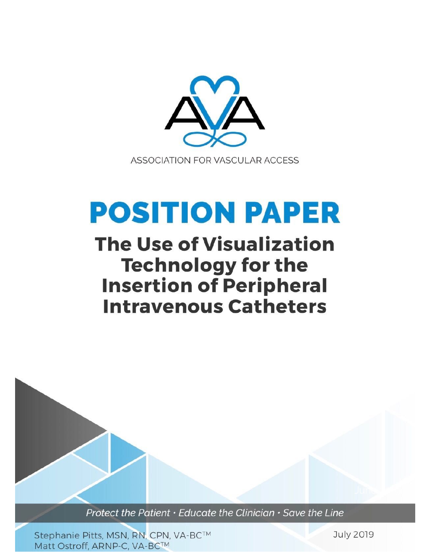

# **POSITION PAPER**

# **The Use of Visualization Technology for the Insertion of Peripheral Intravenous Catheters**

Protect the Patient · Educate the Clinician · Save the Line

Stephanie Pitts, MSN, RN, CPN, VA-BC™ Matt Ostroff, ARNP-C, VA-BC™

**July 2019**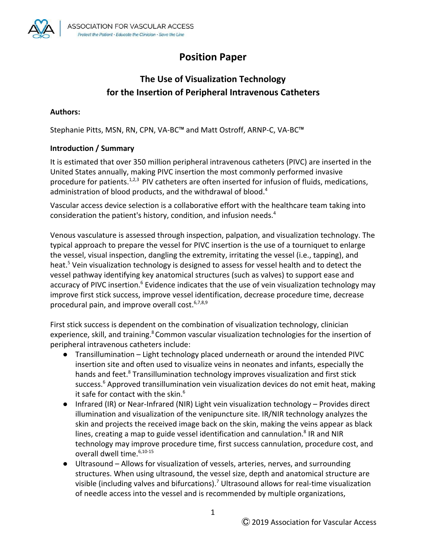

## **Position Paper**

### **The Use of Visualization Technology for the Insertion of Peripheral Intravenous Catheters**

#### **Authors:**

Stephanie Pitts, MSN, RN, CPN, VA-BC™ and Matt Ostroff, ARNP-C, VA-BC™

#### **Introduction / Summary**

It is estimated that over 350 million peripheral intravenous catheters (PIVC) are inserted in the United States annually, making PIVC insertion the most commonly performed invasive procedure for patients.<sup>1,2,3</sup> PIV catheters are often inserted for infusion of fluids, medications, administration of blood products, and the withdrawal of blood.<sup>4</sup>

Vascular access device selection is a collaborative effort with the healthcare team taking into consideration the patient's history, condition, and infusion needs.<sup>4</sup>

Venous vasculature is assessed through inspection, palpation, and visualization technology. The typical approach to prepare the vessel for PIVC insertion is the use of a tourniquet to enlarge the vessel, visual inspection, dangling the extremity, irritating the vessel (i.e., tapping), and heat.<sup>5</sup> Vein visualization technology is designed to assess for vessel health and to detect the vessel pathway identifying key anatomical structures (such as valves) to support ease and accuracy of PIVC insertion.<sup>6</sup> Evidence indicates that the use of vein visualization technology may improve first stick success, improve vessel identification, decrease procedure time, decrease procedural pain, and improve overall cost. $6,7,8,9$ 

First stick success is dependent on the combination of visualization technology, clinician experience, skill, and training.<sup>8</sup> Common vascular visualization technologies for the insertion of peripheral intravenous catheters include:

- Transillumination Light technology placed underneath or around the intended PIVC insertion site and often used to visualize veins in neonates and infants, especially the hands and feet.<sup>8</sup> Transillumination technology improves visualization and first stick success.<sup>6</sup> Approved transillumination vein visualization devices do not emit heat, making it safe for contact with the skin.<sup>6</sup>
- Infrared (IR) or Near-Infrared (NIR) Light vein visualization technology Provides direct illumination and visualization of the venipuncture site. IR/NIR technology analyzes the skin and projects the received image back on the skin, making the veins appear as black lines, creating a map to guide vessel identification and cannulation.<sup>8</sup> IR and NIR technology may improve procedure time, first success cannulation, procedure cost, and overall dwell time.6,10-15
- Ultrasound Allows for visualization of vessels, arteries, nerves, and surrounding structures. When using ultrasound, the vessel size, depth and anatomical structure are visible (including valves and bifurcations).<sup>7</sup> Ultrasound allows for real-time visualization of needle access into the vessel and is recommended by multiple organizations,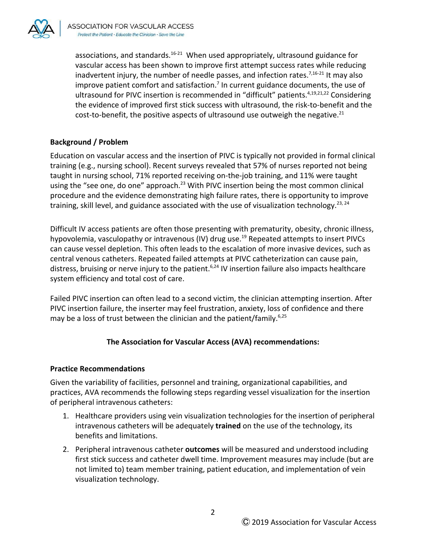

associations, and standards.<sup>16-21</sup> When used appropriately, ultrasound guidance for vascular access has been shown to improve first attempt success rates while reducing inadvertent injury, the number of needle passes, and infection rates.<sup>7,16-21</sup> It may also improve patient comfort and satisfaction.<sup>7</sup> In current guidance documents, the use of ultrasound for PIVC insertion is recommended in "difficult" patients.<sup>4,19,21,22</sup> Considering the evidence of improved first stick success with ultrasound, the risk-to-benefit and the cost-to-benefit, the positive aspects of ultrasound use outweigh the negative. $^{21}$ 

#### **Background / Problem**

Education on vascular access and the insertion of PIVC is typically not provided in formal clinical training (e.g., nursing school). Recent surveys revealed that 57% of nurses reported not being taught in nursing school, 71% reported receiving on-the-job training, and 11% were taught using the "see one, do one" approach.<sup>23</sup> With PIVC insertion being the most common clinical procedure and the evidence demonstrating high failure rates, there is opportunity to improve training, skill level, and guidance associated with the use of visualization technology.<sup>23, 24</sup>

Difficult IV access patients are often those presenting with prematurity, obesity, chronic illness, hypovolemia, vasculopathy or intravenous (IV) drug use.<sup>19</sup> Repeated attempts to insert PIVCs can cause vessel depletion. This often leads to the escalation of more invasive devices, such as central venous catheters. Repeated failed attempts at PIVC catheterization can cause pain, distress, bruising or nerve injury to the patient.<sup>6,24</sup> IV insertion failure also impacts healthcare system efficiency and total cost of care.

Failed PIVC insertion can often lead to a second victim, the clinician attempting insertion. After PIVC insertion failure, the inserter may feel frustration, anxiety, loss of confidence and there may be a loss of trust between the clinician and the patient/family.<sup>6,25</sup>

#### **The Association for Vascular Access (AVA) recommendations:**

#### **Practice Recommendations**

Given the variability of facilities, personnel and training, organizational capabilities, and practices, AVA recommends the following steps regarding vessel visualization for the insertion of peripheral intravenous catheters:

- 1. Healthcare providers using vein visualization technologies for the insertion of peripheral intravenous catheters will be adequately **trained** on the use of the technology, its benefits and limitations.
- 2. Peripheral intravenous catheter **outcomes** will be measured and understood including first stick success and catheter dwell time. Improvement measures may include (but are not limited to) team member training, patient education, and implementation of vein visualization technology.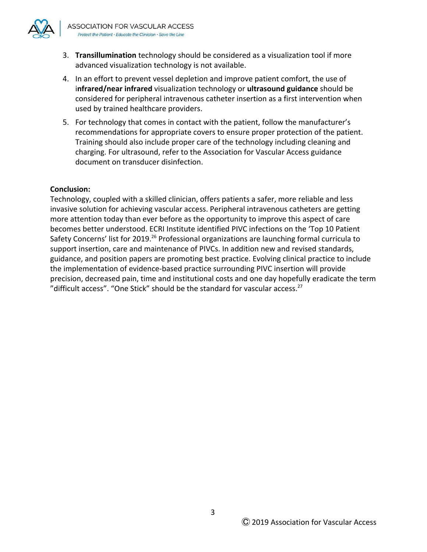

- 3. **Transillumination** technology should be considered as a visualization tool if more advanced visualization technology is not available.
- 4. In an effort to prevent vessel depletion and improve patient comfort, the use of i**nfrared/near infrared** visualization technology or **ultrasound guidance** should be considered for peripheral intravenous catheter insertion as a first intervention when used by trained healthcare providers.
- 5. For technology that comes in contact with the patient, follow the manufacturer's recommendations for appropriate covers to ensure proper protection of the patient. Training should also include proper care of the technology including cleaning and charging. For ultrasound, refer to the Association for Vascular Access guidance document on transducer disinfection.

#### **Conclusion:**

Technology, coupled with a skilled clinician, offers patients a safer, more reliable and less invasive solution for achieving vascular access. Peripheral intravenous catheters are getting more attention today than ever before as the opportunity to improve this aspect of care becomes better understood. ECRI Institute identified PIVC infections on the 'Top 10 Patient Safety Concerns' list for 2019.<sup>26</sup> Professional organizations are launching formal curricula to support insertion, care and maintenance of PIVCs. In addition new and revised standards, guidance, and position papers are promoting best practice. Evolving clinical practice to include the implementation of evidence-based practice surrounding PIVC insertion will provide precision, decreased pain, time and institutional costs and one day hopefully eradicate the term "difficult access". "One Stick" should be the standard for vascular access. $27$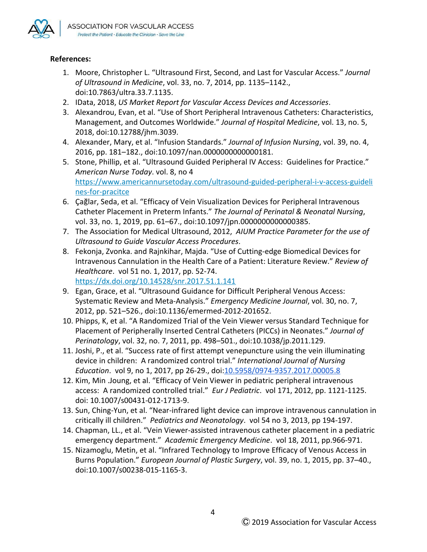

#### **References:**

- 1. Moore, Christopher L. "Ultrasound First, Second, and Last for Vascular Access." *Journal of Ultrasound in Medicine*, vol. 33, no. 7, 2014, pp. 1135–1142., doi:10.7863/ultra.33.7.1135.
- 2. IData, 2018, *US Market Report for Vascular Access Devices and Accessories*.
- 3. Alexandrou, Evan, et al. "Use of Short Peripheral Intravenous Catheters: Characteristics, Management, and Outcomes Worldwide." *Journal of Hospital Medicine*, vol. 13, no. 5, 2018, doi:10.12788/jhm.3039.
- 4. Alexander, Mary, et al. "Infusion Standards." *Journal of Infusion Nursing*, vol. 39, no. 4, 2016, pp. 181–182., doi:10.1097/nan.0000000000000181.
- 5. Stone, Phillip, et al. "Ultrasound Guided Peripheral IV Access: Guidelines for Practice." *American Nurse Today*. vol. 8, no 4 [https://www.americannursetoday.com/ultrasound-guided-peripheral-i-v-access-guideli](https://www.americannursetoday.com/ultrasound-guided-peripheral-i-v-access-guidelines-for-pracitce) [nes-for-pracitce](https://www.americannursetoday.com/ultrasound-guided-peripheral-i-v-access-guidelines-for-pracitce)
- 6. Çağlar, Seda, et al. "Efficacy of Vein Visualization Devices for Peripheral Intravenous Catheter Placement in Preterm Infants." *The Journal of Perinatal & Neonatal Nursing*, vol. 33, no. 1, 2019, pp. 61–67., doi:10.1097/jpn.0000000000000385.
- 7. The Association for Medical Ultrasound, 2012, *AIUM Practice Parameter for the use of Ultrasound to Guide Vascular Access Procedures*.
- 8. Fekonja, Zvonka. and Rajnkihar, Majda. "Use of Cutting-edge Biomedical Devices for Intravenous Cannulation in the Health Care of a Patient: Literature Review." *Review of Healthcare*. vol 51 no. 1, 2017, pp. 52-74. <https://dx.doi.org/10.14528/snr.2017.51.1.141>
- 9. Egan, Grace, et al. "Ultrasound Guidance for Difficult Peripheral Venous Access: Systematic Review and Meta-Analysis." *Emergency Medicine Journal*, vol. 30, no. 7, 2012, pp. 521–526., doi:10.1136/emermed-2012-201652.
- 10. Phipps, K, et al. "A Randomized Trial of the Vein Viewer versus Standard Technique for Placement of Peripherally Inserted Central Catheters (PICCs) in Neonates." *Journal of Perinatology*, vol. 32, no. 7, 2011, pp. 498–501., doi:10.1038/jp.2011.129.
- 11. Joshi, P., et al. "Success rate of first attempt venepuncture using the vein illuminating device in children: A randomized control trial." *International Journal of Nursing Education*. vol 9, no 1, 2017, pp 26-29., doi:[10.5958/0974-9357.2017.00005.8](http://dx.doi.org/10.5958/0974-9357.2017.00005.8)
- 12. Kim, Min .Joung, et al. "Efficacy of Vein Viewer in pediatric peripheral intravenous access: A randomized controlled trial." *Eur J Pediatric*. vol 171, 2012, pp. 1121-1125. doi: 10.1007/s00431-012-1713-9.
- 13. Sun, Ching-Yun, et al. "Near-infrared light device can improve intravenous cannulation in critically ill children." *Pediatrics and Neonatology*. vol 54 no 3, 2013, pp 194-197.
- 14. Chapman, LL., et al. "Vein Viewer-assisted intravenous catheter placement in a pediatric emergency department." *Academic Emergency Medicine*. vol 18, 2011, pp.966-971.
- 15. Nizamoglu, Metin, et al. "Infrared Technology to Improve Efficacy of Venous Access in Burns Population." *European Journal of Plastic Surgery*, vol. 39, no. 1, 2015, pp. 37–40., doi:10.1007/s00238-015-1165-3.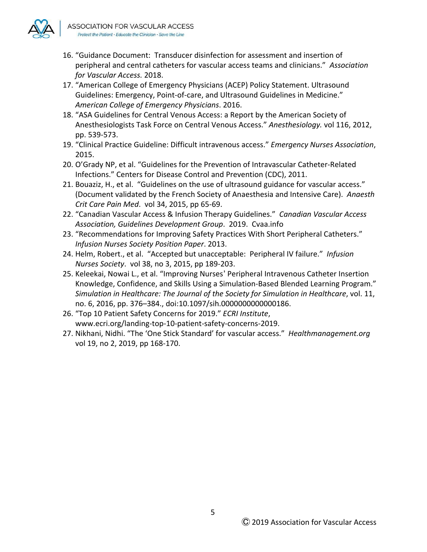

- 16. "Guidance Document: Transducer disinfection for assessment and insertion of peripheral and central catheters for vascular access teams and clinicians." *Association for Vascular Access.* 2018.
- 17. "American College of Emergency Physicians (ACEP) Policy Statement. Ultrasound Guidelines: Emergency, Point-of-care, and Ultrasound Guidelines in Medicine." *American College of Emergency Physicians*. 2016.
- 18. "ASA Guidelines for Central Venous Access: a Report by the American Society of Anesthesiologists Task Force on Central Venous Access." *Anesthesiology.* vol 116, 2012, pp. 539-573.
- 19. "Clinical Practice Guideline: Difficult intravenous access." *Emergency Nurses Association*, 2015.
- 20. O'Grady NP, et al. "Guidelines for the Prevention of Intravascular Catheter-Related Infections." Centers for Disease Control and Prevention (CDC), 2011.
- 21. Bouaziz, H., et al. "Guidelines on the use of ultrasound guidance for vascular access." (Document validated by the French Society of Anaesthesia and Intensive Care). *Anaesth Crit Care Pain Med*. vol 34, 2015, pp 65-69.
- 22. "Canadian Vascular Access & Infusion Therapy Guidelines." *Canadian Vascular Access Association, Guidelines Development Group*. 2019. Cvaa.info
- 23. "Recommendations for Improving Safety Practices With Short Peripheral Catheters." *Infusion Nurses Society Position Paper*. 2013.
- 24. Helm, Robert., et al. "Accepted but unacceptable: Peripheral IV failure." *Infusion Nurses Society*. vol 38, no 3, 2015, pp 189-203.
- 25. Keleekai, Nowai L., et al. "Improving Nurses' Peripheral Intravenous Catheter Insertion Knowledge, Confidence, and Skills Using a Simulation-Based Blended Learning Program." *Simulation in Healthcare: The Journal of the Society for Simulation in Healthcare*, vol. 11, no. 6, 2016, pp. 376–384., doi:10.1097/sih.0000000000000186.
- 26. "Top 10 Patient Safety Concerns for 2019." *ECRI Institute*, www.ecri.org/landing-top-10-patient-safety-concerns-2019.
- 27. Nikhani, Nidhi. "The 'One Stick Standard' for vascular access." *Healthmanagement.org* vol 19, no 2, 2019, pp 168-170.